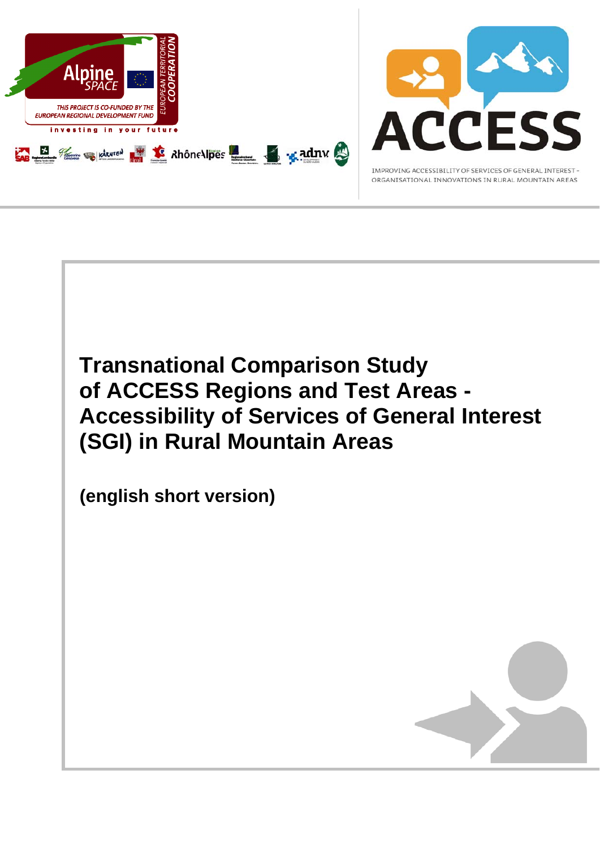

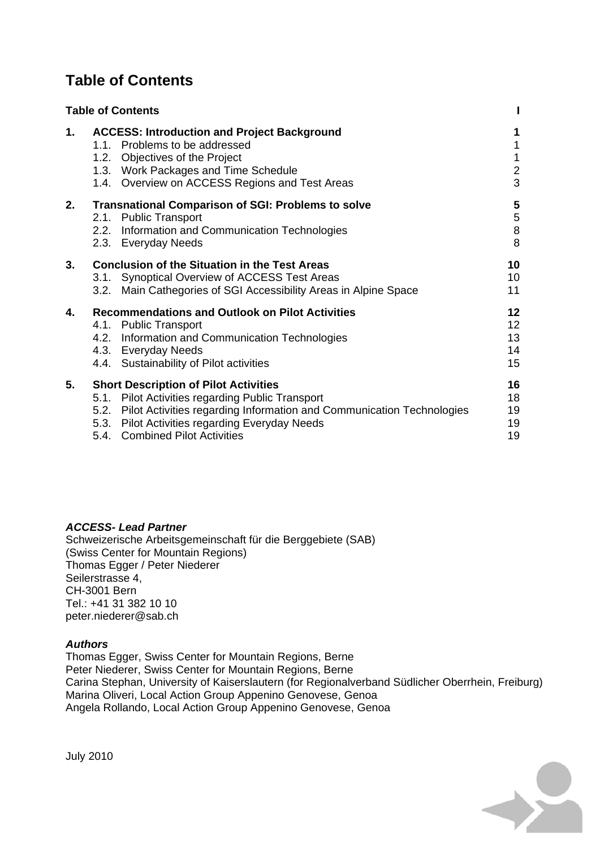# **Table of Contents**

|    | <b>Table of Contents</b>                                                                                                                                                                                                                                           |                                  |
|----|--------------------------------------------------------------------------------------------------------------------------------------------------------------------------------------------------------------------------------------------------------------------|----------------------------------|
| 1. | <b>ACCESS: Introduction and Project Background</b><br>1.1. Problems to be addressed<br>1.2. Objectives of the Project<br>1.3. Work Packages and Time Schedule<br>1.4. Overview on ACCESS Regions and Test Areas                                                    | 1<br>$\mathbf 2$<br>3            |
| 2. | <b>Transnational Comparison of SGI: Problems to solve</b><br>2.1. Public Transport<br>2.2. Information and Communication Technologies<br>2.3. Everyday Needs                                                                                                       | 5<br>$\mathbf 5$<br>$\bf 8$<br>8 |
| 3. | <b>Conclusion of the Situation in the Test Areas</b><br>3.1. Synoptical Overview of ACCESS Test Areas<br>3.2. Main Cathegories of SGI Accessibility Areas in Alpine Space                                                                                          | 10<br>10<br>11                   |
| 4. | <b>Recommendations and Outlook on Pilot Activities</b><br>4.1. Public Transport<br>4.2. Information and Communication Technologies<br>4.3. Everyday Needs<br>4.4. Sustainability of Pilot activities                                                               | 12<br>12<br>13<br>14<br>15       |
| 5. | <b>Short Description of Pilot Activities</b><br>5.1. Pilot Activities regarding Public Transport<br>5.2. Pilot Activities regarding Information and Communication Technologies<br>5.3. Pilot Activities regarding Everyday Needs<br>5.4. Combined Pilot Activities | 16<br>18<br>19<br>19<br>19       |

#### *ACCESS- Lead Partner*

Schweizerische Arbeitsgemeinschaft für die Berggebiete (SAB) (Swiss Center for Mountain Regions) Thomas Egger / Peter Niederer Seilerstrasse 4, CH-3001 Bern Tel.: +41 31 382 10 10 peter.niederer@sab.ch

#### *Authors*

Thomas Egger, Swiss Center for Mountain Regions, Berne Peter Niederer, Swiss Center for Mountain Regions, Berne Carina Stephan, University of Kaiserslautern (for Regionalverband Südlicher Oberrhein, Freiburg) Marina Oliveri, Local Action Group Appenino Genovese, Genoa Angela Rollando, Local Action Group Appenino Genovese, Genoa



July 2010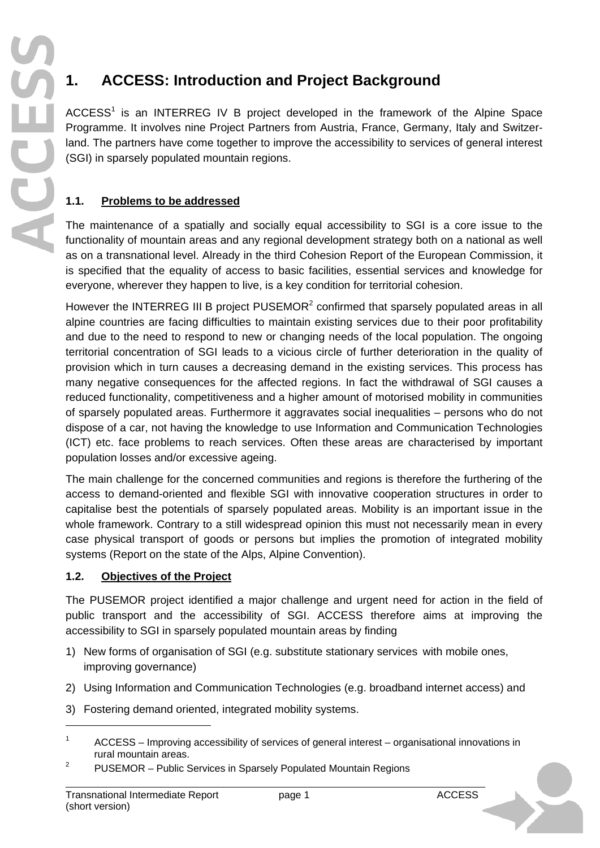# **1. ACCESS: Introduction and Project Background**

ACCESS<sup>1</sup> is an INTERREG IV B project developed in the framework of the Alpine Space Programme. It involves nine Project Partners from Austria, France, Germany, Italy and Switzerland. The partners have come together to improve the accessibility to services of general interest (SGI) in sparsely populated mountain regions.

# **1.1. Problems to be addressed**

The maintenance of a spatially and socially equal accessibility to SGI is a core issue to the functionality of mountain areas and any regional development strategy both on a national as well as on a transnational level. Already in the third Cohesion Report of the European Commission, it is specified that the equality of access to basic facilities, essential services and knowledge for everyone, wherever they happen to live, is a key condition for territorial cohesion.

However the INTERREG III B project PUSEMOR $2$  confirmed that sparsely populated areas in all alpine countries are facing difficulties to maintain existing services due to their poor profitability and due to the need to respond to new or changing needs of the local population. The ongoing territorial concentration of SGI leads to a vicious circle of further deterioration in the quality of provision which in turn causes a decreasing demand in the existing services. This process has many negative consequences for the affected regions. In fact the withdrawal of SGI causes a reduced functionality, competitiveness and a higher amount of motorised mobility in communities of sparsely populated areas. Furthermore it aggravates social inequalities – persons who do not dispose of a car, not having the knowledge to use Information and Communication Technologies (ICT) etc. face problems to reach services. Often these areas are characterised by important population losses and/or excessive ageing.

The main challenge for the concerned communities and regions is therefore the furthering of the access to demand-oriented and flexible SGI with innovative cooperation structures in order to capitalise best the potentials of sparsely populated areas. Mobility is an important issue in the whole framework. Contrary to a still widespread opinion this must not necessarily mean in every case physical transport of goods or persons but implies the promotion of integrated mobility systems (Report on the state of the Alps, Alpine Convention).

#### **1.2. Objectives of the Project**

The PUSEMOR project identified a major challenge and urgent need for action in the field of public transport and the accessibility of SGI. ACCESS therefore aims at improving the accessibility to SGI in sparsely populated mountain areas by finding

- 1) New forms of organisation of SGI (e.g. substitute stationary services with mobile ones, improving governance)
- 2) Using Information and Communication Technologies (e.g. broadband internet access) and
- 3) Fostering demand oriented, integrated mobility systems.

-

<sup>1</sup> ACCESS – Improving accessibility of services of general interest – organisational innovations in rural mountain areas.

<sup>2</sup> PUSEMOR – Public Services in Sparsely Populated Mountain Regions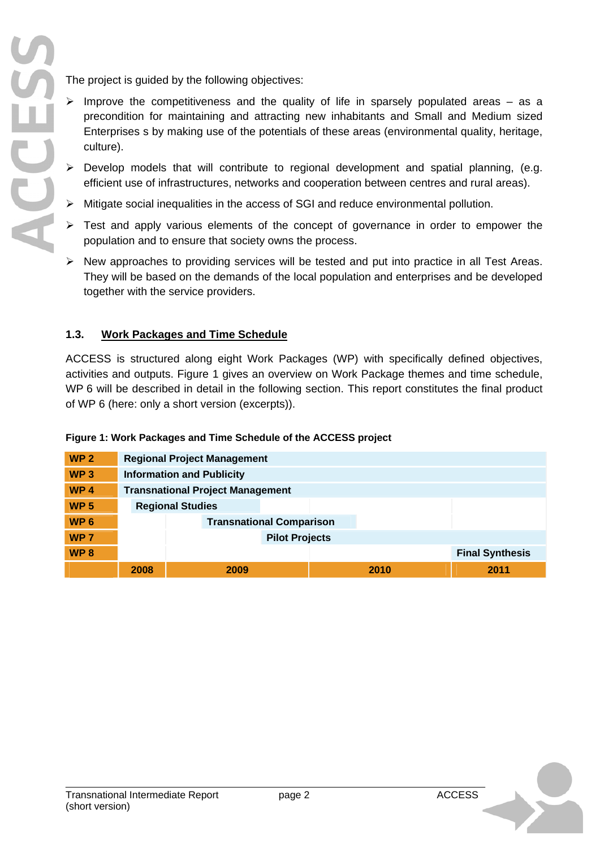The project is guided by the following objectives:

- $\triangleright$  Improve the competitiveness and the quality of life in sparsely populated areas as a precondition for maintaining and attracting new inhabitants and Small and Medium sized Enterprises s by making use of the potentials of these areas (environmental quality, heritage, culture).
- $\triangleright$  Develop models that will contribute to regional development and spatial planning, (e.g. efficient use of infrastructures, networks and cooperation between centres and rural areas).
- ¾ Mitigate social inequalities in the access of SGI and reduce environmental pollution.
- $\triangleright$  Test and apply various elements of the concept of governance in order to empower the population and to ensure that society owns the process.
- $\triangleright$  New approaches to providing services will be tested and put into practice in all Test Areas. They will be based on the demands of the local population and enterprises and be developed together with the service providers.

#### **1.3. Work Packages and Time Schedule**

ACCESS is structured along eight Work Packages (WP) with specifically defined objectives, activities and outputs. Figure 1 gives an overview on Work Package themes and time schedule, WP 6 will be described in detail in the following section. This report constitutes the final product of WP 6 (here: only a short version (excerpts)).

#### **Figure 1: Work Packages and Time Schedule of the ACCESS project**

| WP <sub>2</sub> | <b>Regional Project Management</b>      |      |  |      |                        |
|-----------------|-----------------------------------------|------|--|------|------------------------|
| WP <sub>3</sub> | <b>Information and Publicity</b>        |      |  |      |                        |
| WP <sub>4</sub> | <b>Transnational Project Management</b> |      |  |      |                        |
| <b>WP 5</b>     | <b>Regional Studies</b>                 |      |  |      |                        |
| WP <sub>6</sub> | <b>Transnational Comparison</b>         |      |  |      |                        |
| WP <sub>7</sub> | <b>Pilot Projects</b>                   |      |  |      |                        |
| WP <sub>8</sub> |                                         |      |  |      | <b>Final Synthesis</b> |
|                 | 2008                                    | 2009 |  | 2010 | 2011                   |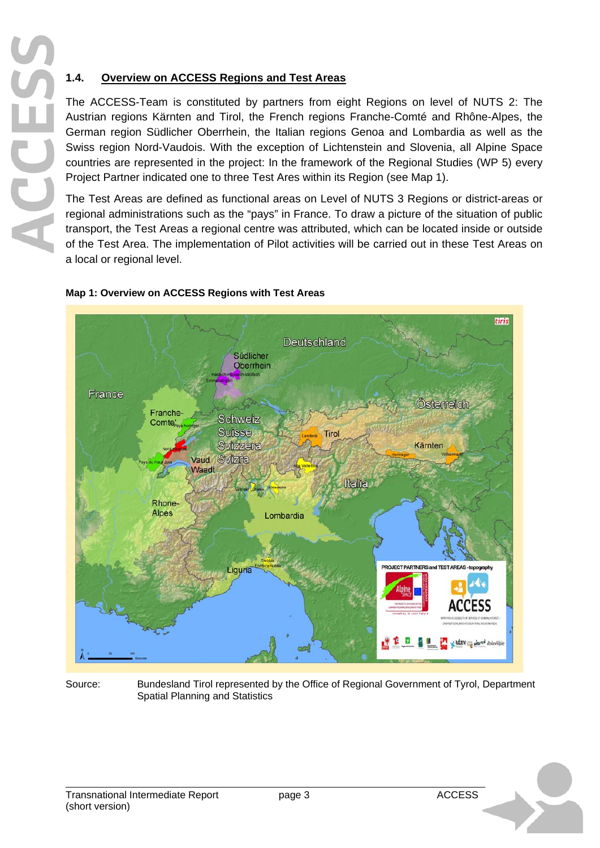## **1.4. Overview on ACCESS Regions and Test Areas**

The ACCESS-Team is constituted by partners from eight Regions on level of NUTS 2: The Austrian regions Kärnten and Tirol, the French regions Franche-Comté and Rhône-Alpes, the German region Südlicher Oberrhein, the Italian regions Genoa and Lombardia as well as the Swiss region Nord-Vaudois. With the exception of Lichtenstein and Slovenia, all Alpine Space countries are represented in the project: In the framework of the Regional Studies (WP 5) every Project Partner indicated one to three Test Ares within its Region (see Map 1).

The Test Areas are defined as functional areas on Level of NUTS 3 Regions or district-areas or regional administrations such as the "pays" in France. To draw a picture of the situation of public transport, the Test Areas a regional centre was attributed, which can be located inside or outside of the Test Area. The implementation of Pilot activities will be carried out in these Test Areas on a local or regional level.



#### **Map 1: Overview on ACCESS Regions with Test Areas**

Source: Bundesland Tirol represented by the Office of Regional Government of Tyrol, Department Spatial Planning and Statistics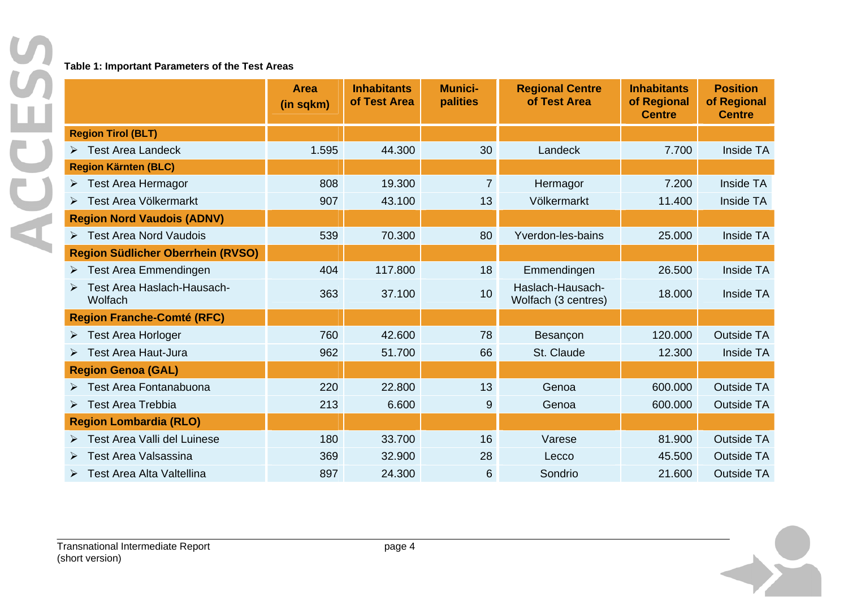#### **Table 1: Important Parameters of the Test Areas**

|                                          | <b>Area</b><br>(in sqkm) | <b>Inhabitants</b><br>of Test Area | <b>Munici-</b><br>palities | <b>Regional Centre</b><br>of Test Area  | <b>Inhabitants</b><br>of Regional<br><b>Centre</b> | <b>Position</b><br>of Regional<br><b>Centre</b> |
|------------------------------------------|--------------------------|------------------------------------|----------------------------|-----------------------------------------|----------------------------------------------------|-------------------------------------------------|
| <b>Region Tirol (BLT)</b>                |                          |                                    |                            |                                         |                                                    |                                                 |
| $\triangleright$ Test Area Landeck       | 1.595                    | 44.300                             | 30                         | Landeck                                 | 7.700                                              | Inside TA                                       |
| <b>Region Kärnten (BLC)</b>              |                          |                                    |                            |                                         |                                                    |                                                 |
| $\triangleright$ Test Area Hermagor      | 808                      | 19.300                             | 7                          | Hermagor                                | 7.200                                              | Inside TA                                       |
| Test Area Völkermarkt                    | 907                      | 43.100                             | 13                         | Völkermarkt                             | 11.400                                             | Inside TA                                       |
| <b>Region Nord Vaudois (ADNV)</b>        |                          |                                    |                            |                                         |                                                    |                                                 |
| > Test Area Nord Vaudois                 | 539                      | 70.300                             | 80                         | Yverdon-les-bains                       | 25.000                                             | Inside TA                                       |
| <b>Region Südlicher Oberrhein (RVSO)</b> |                          |                                    |                            |                                         |                                                    |                                                 |
| $\triangleright$ Test Area Emmendingen   | 404                      | 117.800                            | 18                         | Emmendingen                             | 26.500                                             | Inside TA                                       |
| Test Area Haslach-Hausach-<br>Wolfach    | 363                      | 37.100                             | 10                         | Haslach-Hausach-<br>Wolfach (3 centres) | 18.000                                             | Inside TA                                       |
| <b>Region Franche-Comté (RFC)</b>        |                          |                                    |                            |                                         |                                                    |                                                 |
| $\triangleright$ Test Area Horloger      | 760                      | 42.600                             | 78                         | Besançon                                | 120.000                                            | <b>Outside TA</b>                               |
| > Test Area Haut-Jura                    | 962                      | 51.700                             | 66                         | St. Claude                              | 12.300                                             | Inside TA                                       |
| <b>Region Genoa (GAL)</b>                |                          |                                    |                            |                                         |                                                    |                                                 |
| > Test Area Fontanabuona                 | 220                      | 22.800                             | 13                         | Genoa                                   | 600.000                                            | <b>Outside TA</b>                               |
| $\triangleright$ Test Area Trebbia       | 213                      | 6.600                              | 9                          | Genoa                                   | 600.000                                            | <b>Outside TA</b>                               |
| <b>Region Lombardia (RLO)</b>            |                          |                                    |                            |                                         |                                                    |                                                 |
| Test Area Valli del Luinese              | 180                      | 33.700                             | 16                         | Varese                                  | 81.900                                             | <b>Outside TA</b>                               |
| <b>Test Area Valsassina</b>              | 369                      | 32.900                             | 28                         | Lecco                                   | 45.500                                             | <b>Outside TA</b>                               |
| > Test Area Alta Valtellina              | 897                      | 24.300                             | 6                          | Sondrio                                 | 21.600                                             | <b>Outside TA</b>                               |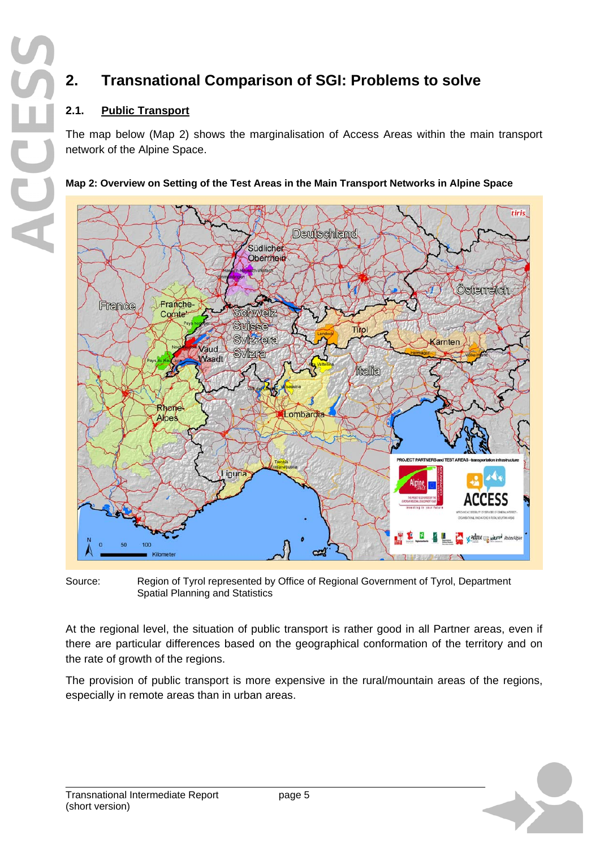# **2. Transnational Comparison of SGI: Problems to solve**

## **2.1. Public Transport**

The map below (Map 2) shows the marginalisation of Access Areas within the main transport network of the Alpine Space.



#### **Map 2: Overview on Setting of the Test Areas in the Main Transport Networks in Alpine Space**

Source: Region of Tyrol represented by Office of Regional Government of Tyrol, Department Spatial Planning and Statistics

At the regional level, the situation of public transport is rather good in all Partner areas, even if there are particular differences based on the geographical conformation of the territory and on the rate of growth of the regions.

The provision of public transport is more expensive in the rural/mountain areas of the regions, especially in remote areas than in urban areas.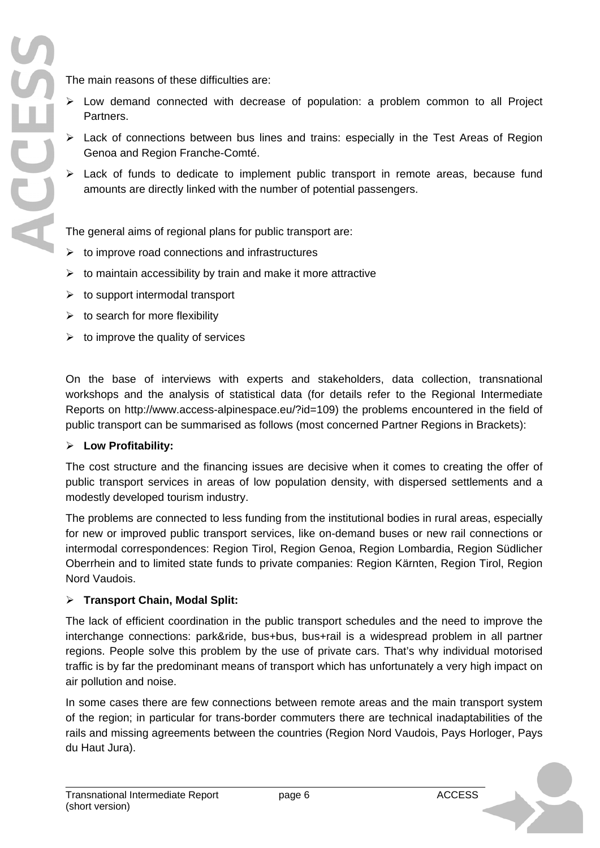The main reasons of these difficulties are:

- $\triangleright$  Low demand connected with decrease of population: a problem common to all Project Partners.
- $\triangleright$  Lack of connections between bus lines and trains: especially in the Test Areas of Region Genoa and Region Franche-Comté.
- $\geq$  Lack of funds to dedicate to implement public transport in remote areas, because fund amounts are directly linked with the number of potential passengers.

The general aims of regional plans for public transport are:

- $\triangleright$  to improve road connections and infrastructures
- $\triangleright$  to maintain accessibility by train and make it more attractive
- $\geq$  to support intermodal transport
- $\triangleright$  to search for more flexibility
- $\triangleright$  to improve the quality of services

On the base of interviews with experts and stakeholders, data collection, transnational workshops and the analysis of statistical data (for details refer to the Regional Intermediate Reports on http://www.access-alpinespace.eu/?id=109) the problems encountered in the field of public transport can be summarised as follows (most concerned Partner Regions in Brackets):

#### ¾ **Low Profitability:**

The cost structure and the financing issues are decisive when it comes to creating the offer of public transport services in areas of low population density, with dispersed settlements and a modestly developed tourism industry.

The problems are connected to less funding from the institutional bodies in rural areas, especially for new or improved public transport services, like on-demand buses or new rail connections or intermodal correspondences: Region Tirol, Region Genoa, Region Lombardia, Region Südlicher Oberrhein and to limited state funds to private companies: Region Kärnten, Region Tirol, Region Nord Vaudois.

#### ¾ **Transport Chain, Modal Split:**

The lack of efficient coordination in the public transport schedules and the need to improve the interchange connections: park&ride, bus+bus, bus+rail is a widespread problem in all partner regions. People solve this problem by the use of private cars. That's why individual motorised traffic is by far the predominant means of transport which has unfortunately a very high impact on air pollution and noise.

In some cases there are few connections between remote areas and the main transport system of the region; in particular for trans-border commuters there are technical inadaptabilities of the rails and missing agreements between the countries (Region Nord Vaudois, Pays Horloger, Pays du Haut Jura).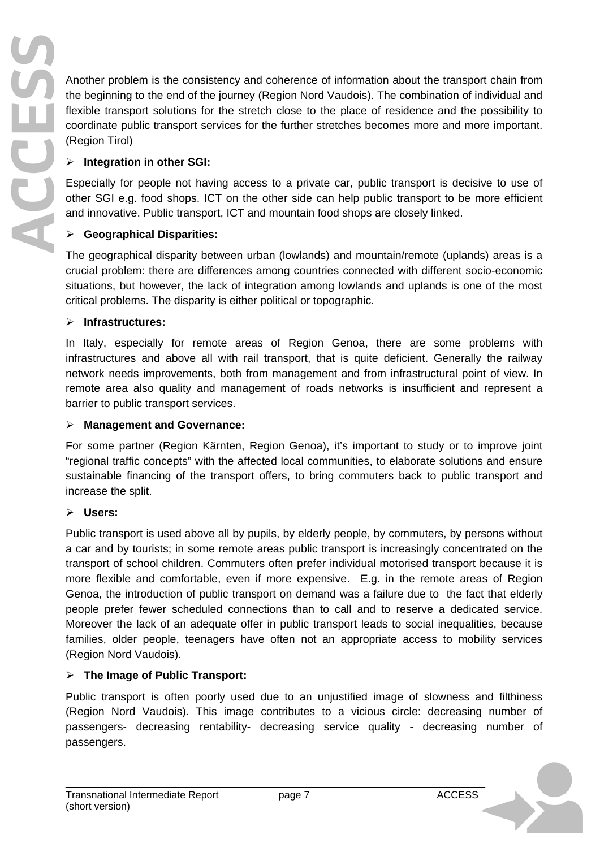Another problem is the consistency and coherence of information about the transport chain from the beginning to the end of the journey (Region Nord Vaudois). The combination of individual and flexible transport solutions for the stretch close to the place of residence and the possibility to coordinate public transport services for the further stretches becomes more and more important. (Region Tirol)

#### ¾ **Integration in other SGI:**

Especially for people not having access to a private car, public transport is decisive to use of other SGI e.g. food shops. ICT on the other side can help public transport to be more efficient and innovative. Public transport, ICT and mountain food shops are closely linked.

#### ¾ **Geographical Disparities:**

The geographical disparity between urban (lowlands) and mountain/remote (uplands) areas is a crucial problem: there are differences among countries connected with different socio-economic situations, but however, the lack of integration among lowlands and uplands is one of the most critical problems. The disparity is either political or topographic.

#### ¾ **Infrastructures:**

In Italy, especially for remote areas of Region Genoa, there are some problems with infrastructures and above all with rail transport, that is quite deficient. Generally the railway network needs improvements, both from management and from infrastructural point of view. In remote area also quality and management of roads networks is insufficient and represent a barrier to public transport services.

#### ¾ **Management and Governance:**

For some partner (Region Kärnten, Region Genoa), it's important to study or to improve joint "regional traffic concepts" with the affected local communities, to elaborate solutions and ensure sustainable financing of the transport offers, to bring commuters back to public transport and increase the split.

#### ¾ **Users:**

Public transport is used above all by pupils, by elderly people, by commuters, by persons without a car and by tourists; in some remote areas public transport is increasingly concentrated on the transport of school children. Commuters often prefer individual motorised transport because it is more flexible and comfortable, even if more expensive. E.g. in the remote areas of Region Genoa, the introduction of public transport on demand was a failure due to the fact that elderly people prefer fewer scheduled connections than to call and to reserve a dedicated service. Moreover the lack of an adequate offer in public transport leads to social inequalities, because families, older people, teenagers have often not an appropriate access to mobility services (Region Nord Vaudois).

#### ¾ **The Image of Public Transport:**

Public transport is often poorly used due to an unjustified image of slowness and filthiness (Region Nord Vaudois). This image contributes to a vicious circle: decreasing number of passengers- decreasing rentability- decreasing service quality - decreasing number of passengers.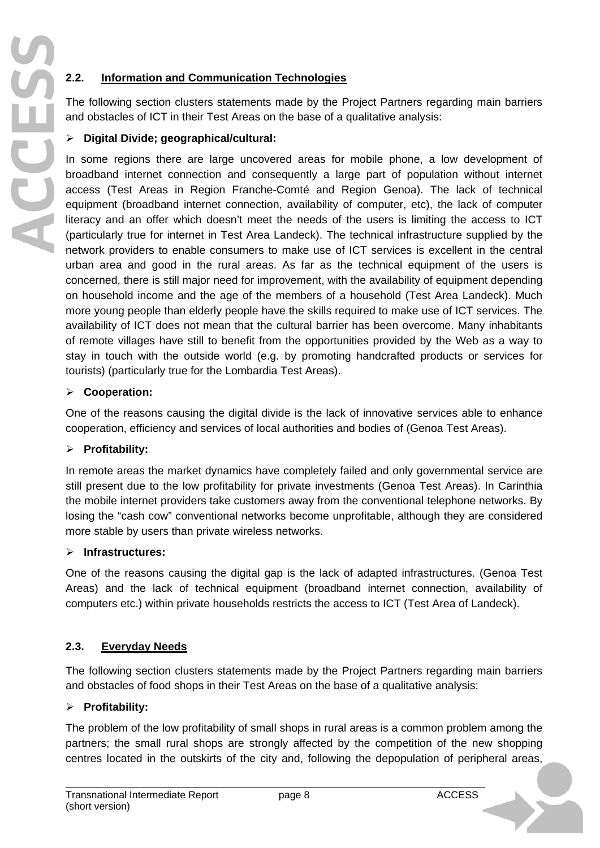#### **2.2. Information and Communication Technologies**

The following section clusters statements made by the Project Partners regarding main barriers and obstacles of ICT in their Test Areas on the base of a qualitative analysis:

#### ¾ **Digital Divide; geographical/cultural:**

In some regions there are large uncovered areas for mobile phone, a low development of broadband internet connection and consequently a large part of population without internet access (Test Areas in Region Franche-Comté and Region Genoa). The lack of technical equipment (broadband internet connection, availability of computer, etc), the lack of computer literacy and an offer which doesn't meet the needs of the users is limiting the access to ICT (particularly true for internet in Test Area Landeck). The technical infrastructure supplied by the network providers to enable consumers to make use of ICT services is excellent in the central urban area and good in the rural areas. As far as the technical equipment of the users is concerned, there is still major need for improvement, with the availability of equipment depending on household income and the age of the members of a household (Test Area Landeck). Much more young people than elderly people have the skills required to make use of ICT services. The availability of ICT does not mean that the cultural barrier has been overcome. Many inhabitants of remote villages have still to benefit from the opportunities provided by the Web as a way to stay in touch with the outside world (e.g. by promoting handcrafted products or services for tourists) (particularly true for the Lombardia Test Areas).

#### ¾ **Cooperation:**

One of the reasons causing the digital divide is the lack of innovative services able to enhance cooperation, efficiency and services of local authorities and bodies of (Genoa Test Areas).

#### ¾ **Profitability:**

In remote areas the market dynamics have completely failed and only governmental service are still present due to the low profitability for private investments (Genoa Test Areas). In Carinthia the mobile internet providers take customers away from the conventional telephone networks. By losing the "cash cow" conventional networks become unprofitable, although they are considered more stable by users than private wireless networks.

#### ¾ **Infrastructures:**

One of the reasons causing the digital gap is the lack of adapted infrastructures. (Genoa Test Areas) and the lack of technical equipment (broadband internet connection, availability of computers etc.) within private households restricts the access to ICT (Test Area of Landeck).

#### **2.3. Everyday Needs**

The following section clusters statements made by the Project Partners regarding main barriers and obstacles of food shops in their Test Areas on the base of a qualitative analysis:

#### ¾ **Profitability:**

The problem of the low profitability of small shops in rural areas is a common problem among the partners; the small rural shops are strongly affected by the competition of the new shopping centres located in the outskirts of the city and, following the depopulation of peripheral areas,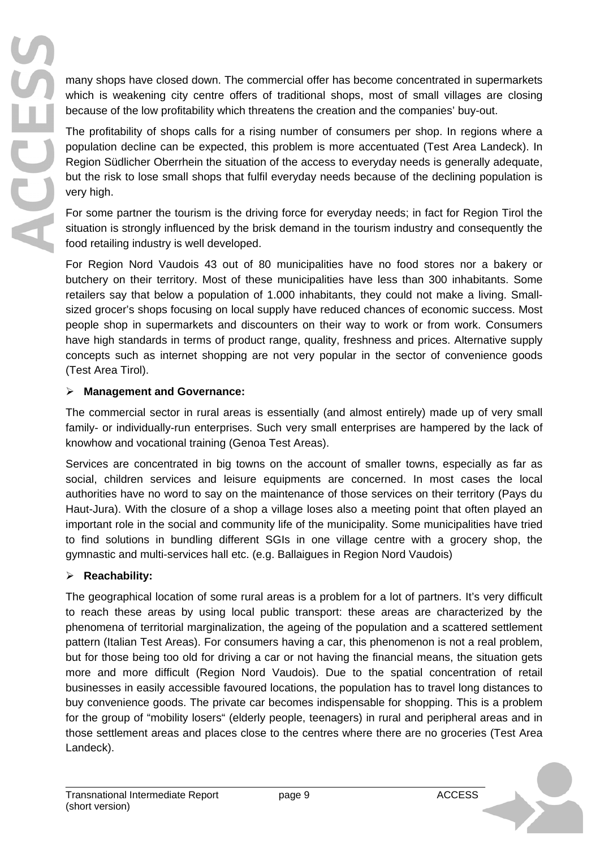many shops have closed down. The commercial offer has become concentrated in supermarkets which is weakening city centre offers of traditional shops, most of small villages are closing because of the low profitability which threatens the creation and the companies' buy-out.

The profitability of shops calls for a rising number of consumers per shop. In regions where a population decline can be expected, this problem is more accentuated (Test Area Landeck). In Region Südlicher Oberrhein the situation of the access to everyday needs is generally adequate, but the risk to lose small shops that fulfil everyday needs because of the declining population is very high.

For some partner the tourism is the driving force for everyday needs; in fact for Region Tirol the situation is strongly influenced by the brisk demand in the tourism industry and consequently the food retailing industry is well developed.

For Region Nord Vaudois 43 out of 80 municipalities have no food stores nor a bakery or butchery on their territory. Most of these municipalities have less than 300 inhabitants. Some retailers say that below a population of 1.000 inhabitants, they could not make a living. Smallsized grocer's shops focusing on local supply have reduced chances of economic success. Most people shop in supermarkets and discounters on their way to work or from work. Consumers have high standards in terms of product range, quality, freshness and prices. Alternative supply concepts such as internet shopping are not very popular in the sector of convenience goods (Test Area Tirol).

#### ¾ **Management and Governance:**

The commercial sector in rural areas is essentially (and almost entirely) made up of very small family- or individually-run enterprises. Such very small enterprises are hampered by the lack of knowhow and vocational training (Genoa Test Areas).

Services are concentrated in big towns on the account of smaller towns, especially as far as social, children services and leisure equipments are concerned. In most cases the local authorities have no word to say on the maintenance of those services on their territory (Pays du Haut-Jura). With the closure of a shop a village loses also a meeting point that often played an important role in the social and community life of the municipality. Some municipalities have tried to find solutions in bundling different SGIs in one village centre with a grocery shop, the gymnastic and multi-services hall etc. (e.g. Ballaigues in Region Nord Vaudois)

### ¾ **Reachability:**

The geographical location of some rural areas is a problem for a lot of partners. It's very difficult to reach these areas by using local public transport: these areas are characterized by the phenomena of territorial marginalization, the ageing of the population and a scattered settlement pattern (Italian Test Areas). For consumers having a car, this phenomenon is not a real problem, but for those being too old for driving a car or not having the financial means, the situation gets more and more difficult (Region Nord Vaudois). Due to the spatial concentration of retail businesses in easily accessible favoured locations, the population has to travel long distances to buy convenience goods. The private car becomes indispensable for shopping. This is a problem for the group of "mobility losers" (elderly people, teenagers) in rural and peripheral areas and in those settlement areas and places close to the centres where there are no groceries (Test Area Landeck).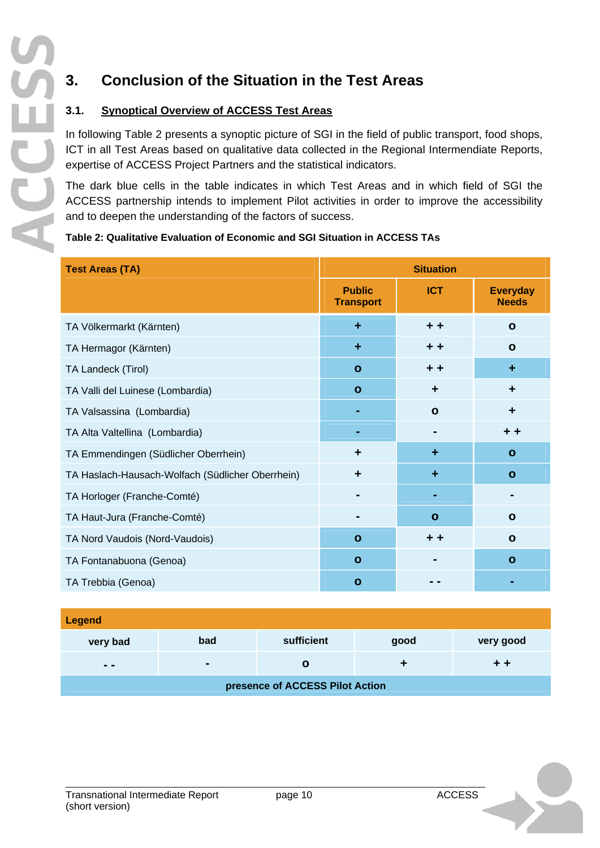# **3. Conclusion of the Situation in the Test Areas**

### **3.1. Synoptical Overview of ACCESS Test Areas**

In following Table 2 presents a synoptic picture of SGI in the field of public transport, food shops, ICT in all Test Areas based on qualitative data collected in the Regional Intermendiate Reports, expertise of ACCESS Project Partners and the statistical indicators.

The dark blue cells in the table indicates in which Test Areas and in which field of SGI the ACCESS partnership intends to implement Pilot activities in order to improve the accessibility and to deepen the understanding of the factors of success.

#### **Table 2: Qualitative Evaluation of Economic and SGI Situation in ACCESS TAs**

| <b>Test Areas (TA)</b>                           | <b>Situation</b>                  |              |                                 |  |
|--------------------------------------------------|-----------------------------------|--------------|---------------------------------|--|
|                                                  | <b>Public</b><br><b>Transport</b> | <b>ICT</b>   | <b>Everyday</b><br><b>Needs</b> |  |
| TA Völkermarkt (Kärnten)                         | ÷                                 | $+ +$        | $\mathbf{o}$                    |  |
| TA Hermagor (Kärnten)                            | ÷                                 | $+ +$        | $\mathbf{o}$                    |  |
| TA Landeck (Tirol)                               | $\mathbf{o}$                      | $+ +$        | ÷                               |  |
| TA Valli del Luinese (Lombardia)                 | $\mathbf{o}$                      | ٠            | ٠                               |  |
| TA Valsassina (Lombardia)                        |                                   | $\mathbf{o}$ | $\ddot{\phantom{1}}$            |  |
| TA Alta Valtellina (Lombardia)                   |                                   |              | + +                             |  |
| TA Emmendingen (Südlicher Oberrhein)             | ٠                                 | ÷            | $\mathbf{o}$                    |  |
| TA Haslach-Hausach-Wolfach (Südlicher Oberrhein) | $\ddot{\phantom{1}}$              | ÷            | $\mathbf{o}$                    |  |
| TA Horloger (Franche-Comté)                      |                                   |              |                                 |  |
| TA Haut-Jura (Franche-Comté)                     | $\blacksquare$                    | $\mathbf{o}$ | $\mathbf{o}$                    |  |
| TA Nord Vaudois (Nord-Vaudois)                   | $\mathbf{o}$                      | $+ +$        | $\mathbf{o}$                    |  |
| TA Fontanabuona (Genoa)                          | $\mathbf{o}$                      |              | $\mathbf{o}$                    |  |
| TA Trebbia (Genoa)                               | $\mathbf{o}$                      |              |                                 |  |

| <b>Legend</b>                   |                |            |      |           |  |  |  |
|---------------------------------|----------------|------------|------|-----------|--|--|--|
| very bad                        | bad            | sufficient | good | very good |  |  |  |
| $ -$                            | $\blacksquare$ | O          |      | + +       |  |  |  |
| presence of ACCESS Pilot Action |                |            |      |           |  |  |  |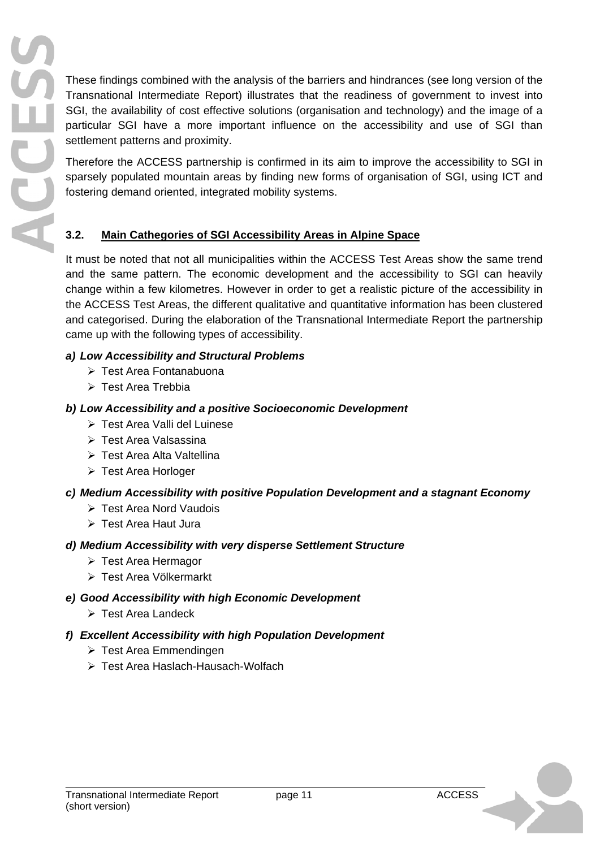These findings combined with the analysis of the barriers and hindrances (see long version of the Transnational Intermediate Report) illustrates that the readiness of government to invest into SGI, the availability of cost effective solutions (organisation and technology) and the image of a particular SGI have a more important influence on the accessibility and use of SGI than settlement patterns and proximity.

Therefore the ACCESS partnership is confirmed in its aim to improve the accessibility to SGI in sparsely populated mountain areas by finding new forms of organisation of SGI, using ICT and fostering demand oriented, integrated mobility systems.

## **3.2. Main Cathegories of SGI Accessibility Areas in Alpine Space**

It must be noted that not all municipalities within the ACCESS Test Areas show the same trend and the same pattern. The economic development and the accessibility to SGI can heavily change within a few kilometres. However in order to get a realistic picture of the accessibility in the ACCESS Test Areas, the different qualitative and quantitative information has been clustered and categorised. During the elaboration of the Transnational Intermediate Report the partnership came up with the following types of accessibility.

### *a) Low Accessibility and Structural Problems*

- ¾ Test Area Fontanabuona
- ¾ Test Area Trebbia

SECE

## *b) Low Accessibility and a positive Socioeconomic Development*

- ¾ Test Area Valli del Luinese
- ¾ Test Area Valsassina
- ¾ Test Area Alta Valtellina
- ¾ Test Area Horloger

# *c) Medium Accessibility with positive Population Development and a stagnant Economy*

- ¾ Test Area Nord Vaudois
- ¾ Test Area Haut Jura

# *d) Medium Accessibility with very disperse Settlement Structure*

- ¾ Test Area Hermagor
- ¾ Test Area Völkermarkt

# *e) Good Accessibility with high Economic Development*

¾ Test Area Landeck

# *f) Excellent Accessibility with high Population Development*

- $\triangleright$  Test Area Emmendingen
- ¾ Test Area Haslach-Hausach-Wolfach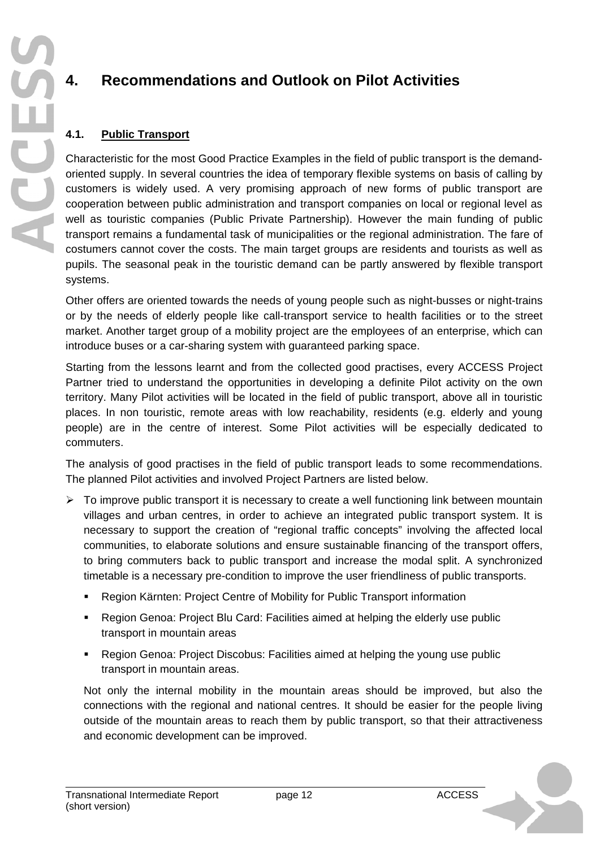# **4. Recommendations and Outlook on Pilot Activities**

### **4.1. Public Transport**

Characteristic for the most Good Practice Examples in the field of public transport is the demandoriented supply. In several countries the idea of temporary flexible systems on basis of calling by customers is widely used. A very promising approach of new forms of public transport are cooperation between public administration and transport companies on local or regional level as well as touristic companies (Public Private Partnership). However the main funding of public transport remains a fundamental task of municipalities or the regional administration. The fare of costumers cannot cover the costs. The main target groups are residents and tourists as well as pupils. The seasonal peak in the touristic demand can be partly answered by flexible transport systems.

Other offers are oriented towards the needs of young people such as night-busses or night-trains or by the needs of elderly people like call-transport service to health facilities or to the street market. Another target group of a mobility project are the employees of an enterprise, which can introduce buses or a car-sharing system with guaranteed parking space.

Starting from the lessons learnt and from the collected good practises, every ACCESS Project Partner tried to understand the opportunities in developing a definite Pilot activity on the own territory. Many Pilot activities will be located in the field of public transport, above all in touristic places. In non touristic, remote areas with low reachability, residents (e.g. elderly and young people) are in the centre of interest. Some Pilot activities will be especially dedicated to commuters.

The analysis of good practises in the field of public transport leads to some recommendations. The planned Pilot activities and involved Project Partners are listed below.

- $\triangleright$  To improve public transport it is necessary to create a well functioning link between mountain villages and urban centres, in order to achieve an integrated public transport system. It is necessary to support the creation of "regional traffic concepts" involving the affected local communities, to elaborate solutions and ensure sustainable financing of the transport offers, to bring commuters back to public transport and increase the modal split. A synchronized timetable is a necessary pre-condition to improve the user friendliness of public transports.
	- Region Kärnten: Project Centre of Mobility for Public Transport information
	- Region Genoa: Project Blu Card: Facilities aimed at helping the elderly use public transport in mountain areas
	- Region Genoa: Project Discobus: Facilities aimed at helping the young use public transport in mountain areas.

Not only the internal mobility in the mountain areas should be improved, but also the connections with the regional and national centres. It should be easier for the people living outside of the mountain areas to reach them by public transport, so that their attractiveness and economic development can be improved.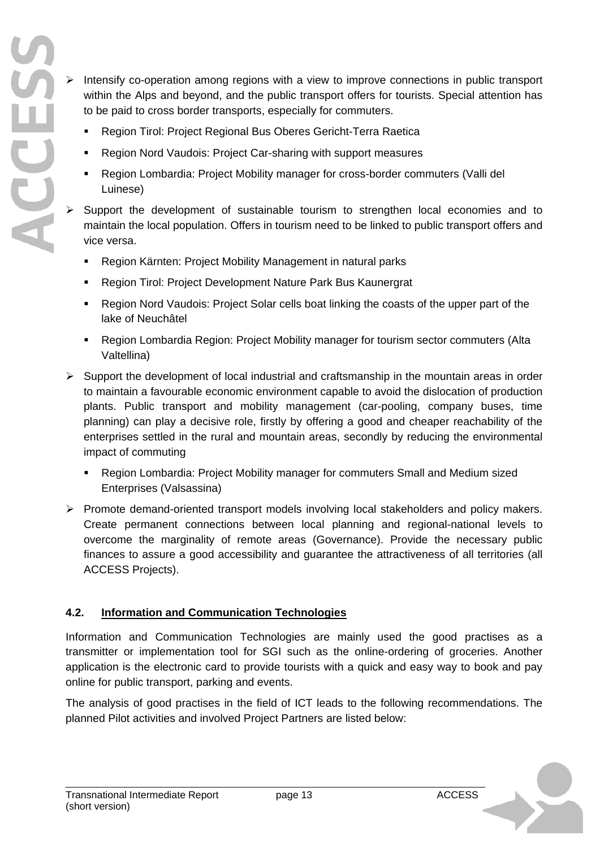$\triangleright$  Intensify co-operation among regions with a view to improve connections in public transport within the Alps and beyond, and the public transport offers for tourists. Special attention has to be paid to cross border transports, especially for commuters.

- **Region Tirol: Project Regional Bus Oberes Gericht-Terra Raetica**
- Region Nord Vaudois: Project Car-sharing with support measures
- Region Lombardia: Project Mobility manager for cross-border commuters (Valli del Luinese)
- Support the development of sustainable tourism to strengthen local economies and to maintain the local population. Offers in tourism need to be linked to public transport offers and vice versa.
	- Region Kärnten: Project Mobility Management in natural parks
	- Region Tirol: Project Development Nature Park Bus Kaunergrat
	- Region Nord Vaudois: Project Solar cells boat linking the coasts of the upper part of the lake of Neuchâtel
	- Region Lombardia Region: Project Mobility manager for tourism sector commuters (Alta Valtellina)
- $\triangleright$  Support the development of local industrial and craftsmanship in the mountain areas in order to maintain a favourable economic environment capable to avoid the dislocation of production plants. Public transport and mobility management (car-pooling, company buses, time planning) can play a decisive role, firstly by offering a good and cheaper reachability of the enterprises settled in the rural and mountain areas, secondly by reducing the environmental impact of commuting
	- Region Lombardia: Project Mobility manager for commuters Small and Medium sized Enterprises (Valsassina)
- ¾ Promote demand-oriented transport models involving local stakeholders and policy makers. Create permanent connections between local planning and regional-national levels to overcome the marginality of remote areas (Governance). Provide the necessary public finances to assure a good accessibility and guarantee the attractiveness of all territories (all ACCESS Projects).

#### **4.2. Information and Communication Technologies**

Information and Communication Technologies are mainly used the good practises as a transmitter or implementation tool for SGI such as the online-ordering of groceries. Another application is the electronic card to provide tourists with a quick and easy way to book and pay online for public transport, parking and events.

The analysis of good practises in the field of ICT leads to the following recommendations. The planned Pilot activities and involved Project Partners are listed below: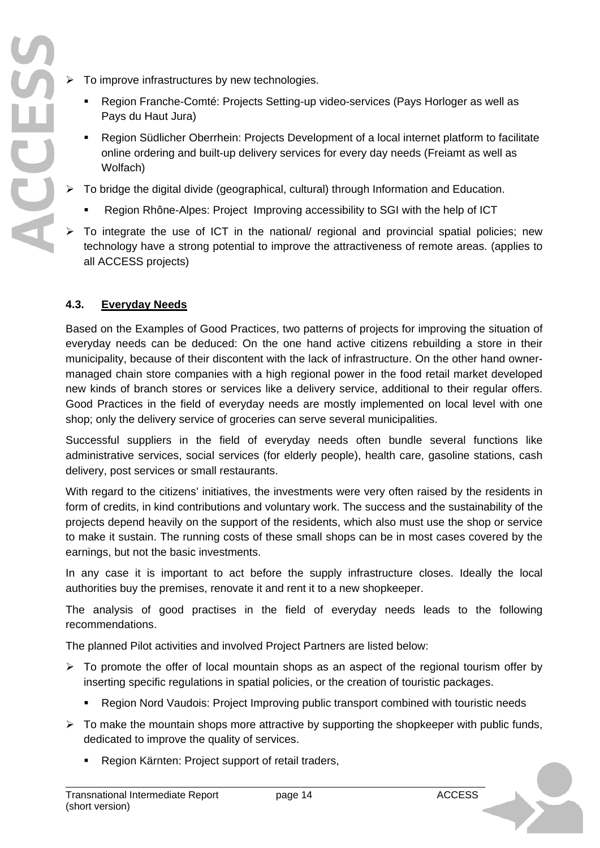- $\triangleright$  To improve infrastructures by new technologies.
	- Region Franche-Comté: Projects Setting-up video-services (Pays Horloger as well as Pays du Haut Jura)
	- Region Südlicher Oberrhein: Projects Development of a local internet platform to facilitate online ordering and built-up delivery services for every day needs (Freiamt as well as Wolfach)
- $\triangleright$  To bridge the digital divide (geographical, cultural) through Information and Education.
	- Region Rhône-Alpes: Project Improving accessibility to SGI with the help of ICT
- $\triangleright$  To integrate the use of ICT in the national/ regional and provincial spatial policies; new technology have a strong potential to improve the attractiveness of remote areas. (applies to all ACCESS projects)

#### **4.3. Everyday Needs**

Based on the Examples of Good Practices, two patterns of projects for improving the situation of everyday needs can be deduced: On the one hand active citizens rebuilding a store in their municipality, because of their discontent with the lack of infrastructure. On the other hand ownermanaged chain store companies with a high regional power in the food retail market developed new kinds of branch stores or services like a delivery service, additional to their regular offers. Good Practices in the field of everyday needs are mostly implemented on local level with one shop; only the delivery service of groceries can serve several municipalities.

Successful suppliers in the field of everyday needs often bundle several functions like administrative services, social services (for elderly people), health care, gasoline stations, cash delivery, post services or small restaurants.

With regard to the citizens' initiatives, the investments were very often raised by the residents in form of credits, in kind contributions and voluntary work. The success and the sustainability of the projects depend heavily on the support of the residents, which also must use the shop or service to make it sustain. The running costs of these small shops can be in most cases covered by the earnings, but not the basic investments.

In any case it is important to act before the supply infrastructure closes. Ideally the local authorities buy the premises, renovate it and rent it to a new shopkeeper.

The analysis of good practises in the field of everyday needs leads to the following recommendations.

The planned Pilot activities and involved Project Partners are listed below:

- $\triangleright$  To promote the offer of local mountain shops as an aspect of the regional tourism offer by inserting specific regulations in spatial policies, or the creation of touristic packages.
	- Region Nord Vaudois: Project Improving public transport combined with touristic needs
- $\triangleright$  To make the mountain shops more attractive by supporting the shopkeeper with public funds, dedicated to improve the quality of services.
	- Region Kärnten: Project support of retail traders,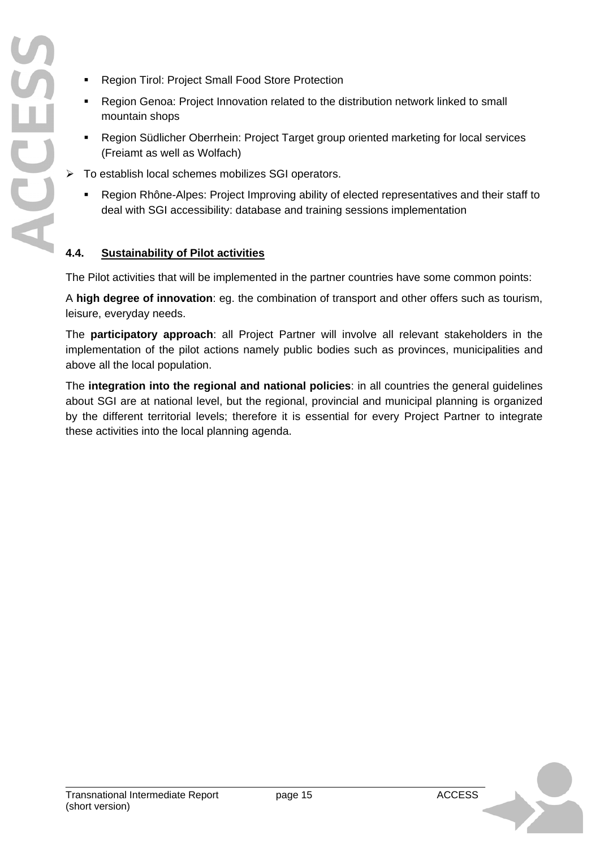- **Region Tirol: Project Small Food Store Protection**
- Region Genoa: Project Innovation related to the distribution network linked to small mountain shops
- Region Südlicher Oberrhein: Project Target group oriented marketing for local services (Freiamt as well as Wolfach)
- $\triangleright$  To establish local schemes mobilizes SGI operators.
	- Region Rhône-Alpes: Project Improving ability of elected representatives and their staff to deal with SGI accessibility: database and training sessions implementation

#### **4.4. Sustainability of Pilot activities**

The Pilot activities that will be implemented in the partner countries have some common points:

A **high degree of innovation**: eg. the combination of transport and other offers such as tourism, leisure, everyday needs.

The **participatory approach**: all Project Partner will involve all relevant stakeholders in the implementation of the pilot actions namely public bodies such as provinces, municipalities and above all the local population.

The **integration into the regional and national policies**: in all countries the general guidelines about SGI are at national level, but the regional, provincial and municipal planning is organized by the different territorial levels; therefore it is essential for every Project Partner to integrate these activities into the local planning agenda.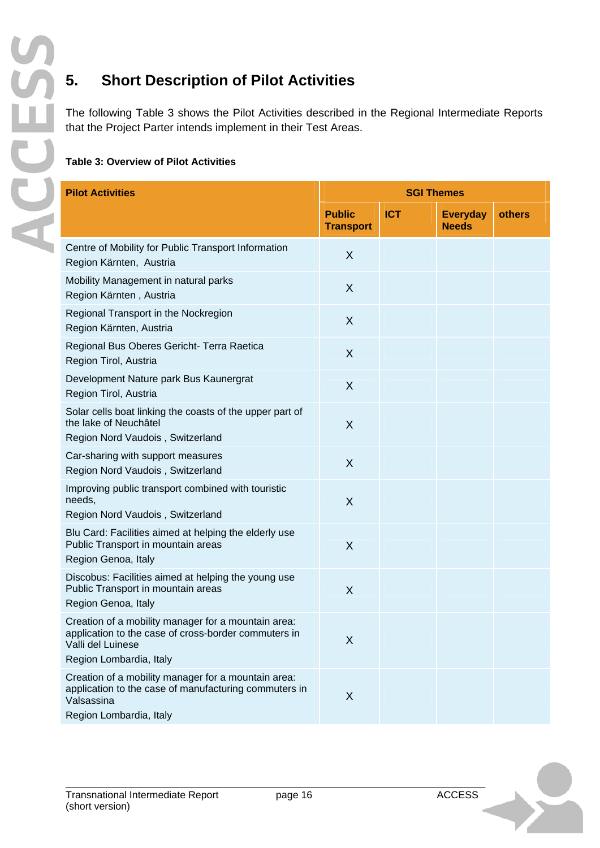# **5. Short Description of Pilot Activities**

The following Table 3 shows the Pilot Activities described in the Regional Intermediate Reports that the Project Parter intends implement in their Test Areas.

#### **Table 3: Overview of Pilot Activities**

| <b>Pilot Activities</b>                                                                                                                                     | <b>SGI Themes</b>                 |            |                                 |        |
|-------------------------------------------------------------------------------------------------------------------------------------------------------------|-----------------------------------|------------|---------------------------------|--------|
|                                                                                                                                                             | <b>Public</b><br><b>Transport</b> | <b>ICT</b> | <b>Everyday</b><br><b>Needs</b> | others |
| Centre of Mobility for Public Transport Information<br>Region Kärnten, Austria                                                                              | X                                 |            |                                 |        |
| Mobility Management in natural parks<br>Region Kärnten, Austria                                                                                             | X                                 |            |                                 |        |
| Regional Transport in the Nockregion<br>Region Kärnten, Austria                                                                                             | X                                 |            |                                 |        |
| Regional Bus Oberes Gericht- Terra Raetica<br>Region Tirol, Austria                                                                                         | X                                 |            |                                 |        |
| Development Nature park Bus Kaunergrat<br>Region Tirol, Austria                                                                                             | X                                 |            |                                 |        |
| Solar cells boat linking the coasts of the upper part of<br>the lake of Neuchâtel<br>Region Nord Vaudois, Switzerland                                       | X                                 |            |                                 |        |
| Car-sharing with support measures<br>Region Nord Vaudois, Switzerland                                                                                       | X                                 |            |                                 |        |
| Improving public transport combined with touristic<br>needs,<br>Region Nord Vaudois, Switzerland                                                            | X                                 |            |                                 |        |
| Blu Card: Facilities aimed at helping the elderly use<br>Public Transport in mountain areas<br>Region Genoa, Italy                                          | X                                 |            |                                 |        |
| Discobus: Facilities aimed at helping the young use<br>Public Transport in mountain areas<br>Region Genoa, Italy                                            | X                                 |            |                                 |        |
| Creation of a mobility manager for a mountain area:<br>application to the case of cross-border commuters in<br>Valli del Luinese<br>Region Lombardia, Italy | X                                 |            |                                 |        |
| Creation of a mobility manager for a mountain area:<br>application to the case of manufacturing commuters in<br>Valsassina<br>Region Lombardia, Italy       | X                                 |            |                                 |        |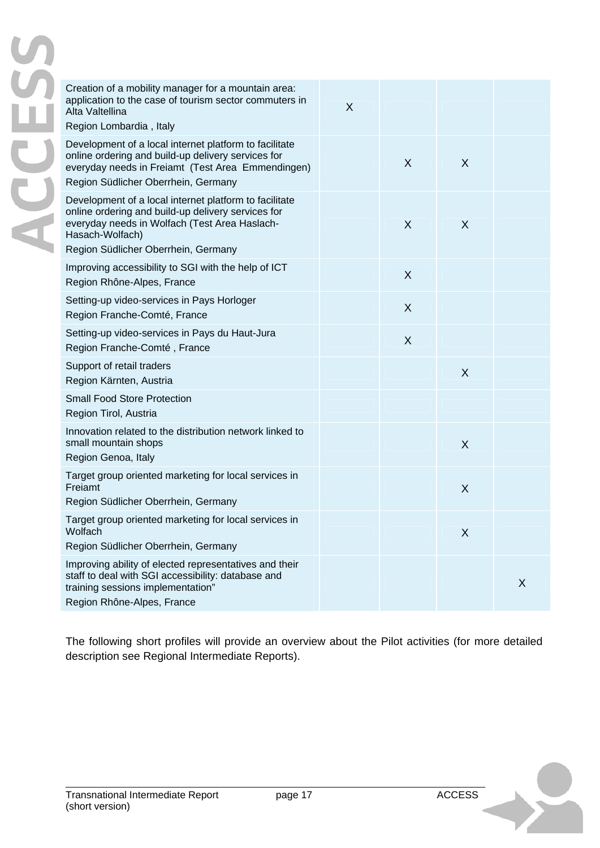| Creation of a mobility manager for a mountain area:<br>application to the case of tourism sector commuters in<br>Alta Valtellina<br>Region Lombardia, Italy                                                             | X |   |   |   |
|-------------------------------------------------------------------------------------------------------------------------------------------------------------------------------------------------------------------------|---|---|---|---|
| Development of a local internet platform to facilitate<br>online ordering and build-up delivery services for<br>everyday needs in Freiamt (Test Area Emmendingen)<br>Region Südlicher Oberrhein, Germany                |   | X | X |   |
| Development of a local internet platform to facilitate<br>online ordering and build-up delivery services for<br>everyday needs in Wolfach (Test Area Haslach-<br>Hasach-Wolfach)<br>Region Südlicher Oberrhein, Germany |   | X | X |   |
| Improving accessibility to SGI with the help of ICT<br>Region Rhône-Alpes, France                                                                                                                                       |   | X |   |   |
| Setting-up video-services in Pays Horloger<br>Region Franche-Comté, France                                                                                                                                              |   | X |   |   |
| Setting-up video-services in Pays du Haut-Jura<br>Region Franche-Comté, France                                                                                                                                          |   | X |   |   |
| Support of retail traders<br>Region Kärnten, Austria                                                                                                                                                                    |   |   | X |   |
| <b>Small Food Store Protection</b><br>Region Tirol, Austria                                                                                                                                                             |   |   |   |   |
| Innovation related to the distribution network linked to<br>small mountain shops<br>Region Genoa, Italy                                                                                                                 |   |   | X |   |
| Target group oriented marketing for local services in<br>Freiamt                                                                                                                                                        |   |   | X |   |
| Region Südlicher Oberrhein, Germany<br>Target group oriented marketing for local services in<br>Wolfach<br>Region Südlicher Oberrhein, Germany                                                                          |   |   | X |   |
| Improving ability of elected representatives and their<br>staff to deal with SGI accessibility: database and<br>training sessions implementation"                                                                       |   |   |   | X |
| Region Rhône-Alpes, France                                                                                                                                                                                              |   |   |   |   |

The following short profiles will provide an overview about the Pilot activities (for more detailed description see Regional Intermediate Reports).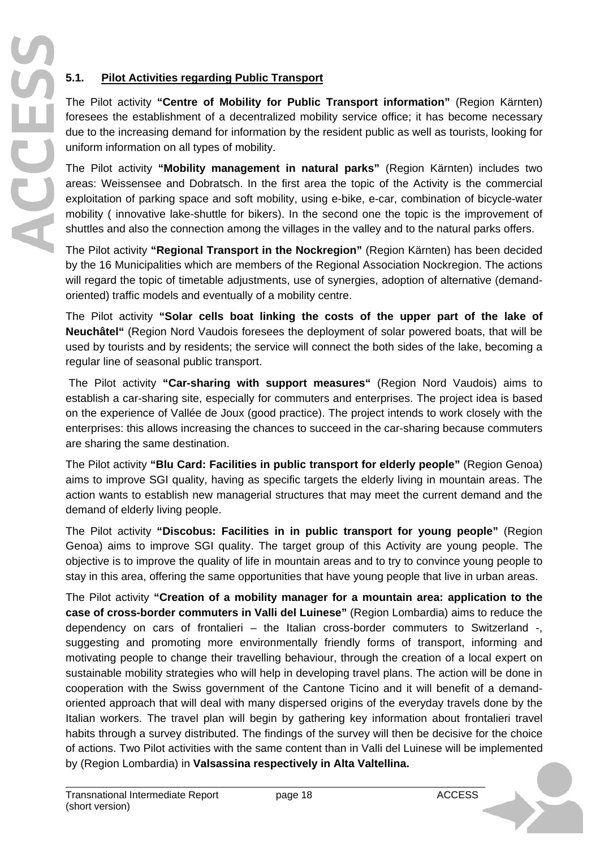## **5.1. Pilot Activities regarding Public Transport**

The Pilot activity **"Centre of Mobility for Public Transport information"** (Region Kärnten) foresees the establishment of a decentralized mobility service office; it has become necessary due to the increasing demand for information by the resident public as well as tourists, looking for uniform information on all types of mobility.

The Pilot activity **"Mobility management in natural parks"** (Region Kärnten) includes two areas: Weissensee and Dobratsch. In the first area the topic of the Activity is the commercial exploitation of parking space and soft mobility, using e-bike, e-car, combination of bicycle-water mobility ( innovative lake-shuttle for bikers). In the second one the topic is the improvement of shuttles and also the connection among the villages in the valley and to the natural parks offers.

The Pilot activity **"Regional Transport in the Nockregion"** (Region Kärnten) has been decided by the 16 Municipalities which are members of the Regional Association Nockregion. The actions will regard the topic of timetable adjustments, use of synergies, adoption of alternative (demandoriented) traffic models and eventually of a mobility centre.

The Pilot activity **"Solar cells boat linking the costs of the upper part of the lake of Neuchâtel"** (Region Nord Vaudois foresees the deployment of solar powered boats, that will be used by tourists and by residents; the service will connect the both sides of the lake, becoming a regular line of seasonal public transport.

 The Pilot activity **"Car-sharing with support measures"** (Region Nord Vaudois) aims to establish a car-sharing site, especially for commuters and enterprises. The project idea is based on the experience of Vallée de Joux (good practice). The project intends to work closely with the enterprises: this allows increasing the chances to succeed in the car-sharing because commuters are sharing the same destination.

The Pilot activity **"Blu Card: Facilities in public transport for elderly people"** (Region Genoa) aims to improve SGI quality, having as specific targets the elderly living in mountain areas. The action wants to establish new managerial structures that may meet the current demand and the demand of elderly living people.

The Pilot activity **"Discobus: Facilities in in public transport for young people"** (Region Genoa) aims to improve SGI quality. The target group of this Activity are young people. The objective is to improve the quality of life in mountain areas and to try to convince young people to stay in this area, offering the same opportunities that have young people that live in urban areas.

The Pilot activity **"Creation of a mobility manager for a mountain area: application to the case of cross-border commuters in Valli del Luinese"** (Region Lombardia) aims to reduce the dependency on cars of frontalieri – the Italian cross-border commuters to Switzerland -, suggesting and promoting more environmentally friendly forms of transport, informing and motivating people to change their travelling behaviour, through the creation of a local expert on sustainable mobility strategies who will help in developing travel plans. The action will be done in cooperation with the Swiss government of the Cantone Ticino and it will benefit of a demandoriented approach that will deal with many dispersed origins of the everyday travels done by the Italian workers. The travel plan will begin by gathering key information about frontalieri travel habits through a survey distributed. The findings of the survey will then be decisive for the choice of actions. Two Pilot activities with the same content than in Valli del Luinese will be implemented by (Region Lombardia) in **Valsassina respectively in Alta Valtellina.**